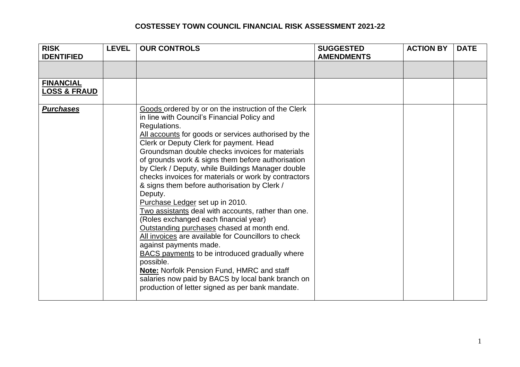| <b>RISK</b><br><b>IDENTIFIED</b>            | <b>LEVEL</b> | <b>OUR CONTROLS</b>                                                                                                                                                                                                                                                                                                                                                                                                                                                                                                                                                                                                                                                                                                                                                                                                                                                                                                                                                                                  | <b>SUGGESTED</b><br><b>AMENDMENTS</b> | <b>ACTION BY</b> | <b>DATE</b> |
|---------------------------------------------|--------------|------------------------------------------------------------------------------------------------------------------------------------------------------------------------------------------------------------------------------------------------------------------------------------------------------------------------------------------------------------------------------------------------------------------------------------------------------------------------------------------------------------------------------------------------------------------------------------------------------------------------------------------------------------------------------------------------------------------------------------------------------------------------------------------------------------------------------------------------------------------------------------------------------------------------------------------------------------------------------------------------------|---------------------------------------|------------------|-------------|
|                                             |              |                                                                                                                                                                                                                                                                                                                                                                                                                                                                                                                                                                                                                                                                                                                                                                                                                                                                                                                                                                                                      |                                       |                  |             |
| <b>FINANCIAL</b><br><b>LOSS &amp; FRAUD</b> |              |                                                                                                                                                                                                                                                                                                                                                                                                                                                                                                                                                                                                                                                                                                                                                                                                                                                                                                                                                                                                      |                                       |                  |             |
| <b>Purchases</b>                            |              | Goods ordered by or on the instruction of the Clerk<br>in line with Council's Financial Policy and<br>Regulations.<br>All accounts for goods or services authorised by the<br>Clerk or Deputy Clerk for payment. Head<br>Groundsman double checks invoices for materials<br>of grounds work & signs them before authorisation<br>by Clerk / Deputy, while Buildings Manager double<br>checks invoices for materials or work by contractors<br>& signs them before authorisation by Clerk /<br>Deputy.<br>Purchase Ledger set up in 2010.<br>Two assistants deal with accounts, rather than one.<br>(Roles exchanged each financial year)<br>Outstanding purchases chased at month end.<br>All invoices are available for Councillors to check<br>against payments made.<br><b>BACS</b> payments to be introduced gradually where<br>possible.<br>Note: Norfolk Pension Fund, HMRC and staff<br>salaries now paid by BACS by local bank branch on<br>production of letter signed as per bank mandate. |                                       |                  |             |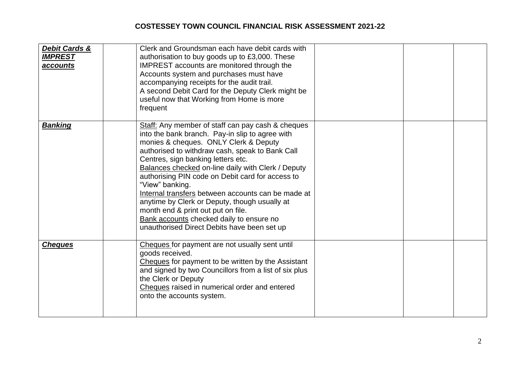| Debit Cards &<br><b>IMPREST</b><br>accounts | Clerk and Groundsman each have debit cards with<br>authorisation to buy goods up to £3,000. These<br>IMPREST accounts are monitored through the<br>Accounts system and purchases must have<br>accompanying receipts for the audit trail.<br>A second Debit Card for the Deputy Clerk might be<br>useful now that Working from Home is more<br>frequent                                                                                                                                                                                                                                                      |  |  |
|---------------------------------------------|-------------------------------------------------------------------------------------------------------------------------------------------------------------------------------------------------------------------------------------------------------------------------------------------------------------------------------------------------------------------------------------------------------------------------------------------------------------------------------------------------------------------------------------------------------------------------------------------------------------|--|--|
| <b>Banking</b>                              | Staff: Any member of staff can pay cash & cheques<br>into the bank branch. Pay-in slip to agree with<br>monies & cheques. ONLY Clerk & Deputy<br>authorised to withdraw cash, speak to Bank Call<br>Centres, sign banking letters etc.<br>Balances checked on-line daily with Clerk / Deputy<br>authorising PIN code on Debit card for access to<br>"View" banking.<br>Internal transfers between accounts can be made at<br>anytime by Clerk or Deputy, though usually at<br>month end & print out put on file.<br>Bank accounts checked daily to ensure no<br>unauthorised Direct Debits have been set up |  |  |
| <b>Cheques</b>                              | Cheques for payment are not usually sent until<br>goods received.<br>Cheques for payment to be written by the Assistant<br>and signed by two Councillors from a list of six plus<br>the Clerk or Deputy<br>Cheques raised in numerical order and entered<br>onto the accounts system.                                                                                                                                                                                                                                                                                                                       |  |  |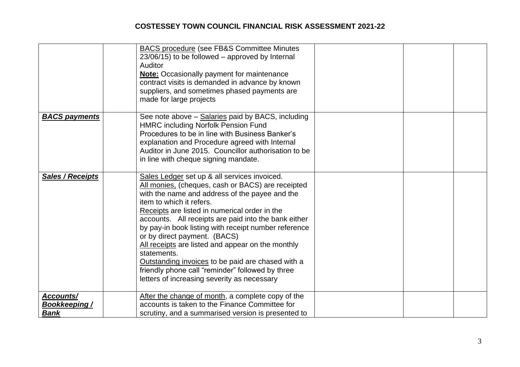|                                                 | <b>BACS procedure (see FB&amp;S Committee Minutes)</b><br>23/06/15) to be followed – approved by Internal<br>Auditor<br><b>Note:</b> Occasionally payment for maintenance<br>contract visits is demanded in advance by known<br>suppliers, and sometimes phased payments are<br>made for large projects                                                                                                                                                                                                                                                                                                      |  |
|-------------------------------------------------|--------------------------------------------------------------------------------------------------------------------------------------------------------------------------------------------------------------------------------------------------------------------------------------------------------------------------------------------------------------------------------------------------------------------------------------------------------------------------------------------------------------------------------------------------------------------------------------------------------------|--|
| <b>BACS payments</b>                            | See note above - Salaries paid by BACS, including<br><b>HMRC including Norfolk Pension Fund</b><br>Procedures to be in line with Business Banker's<br>explanation and Procedure agreed with Internal<br>Auditor in June 2015. Councillor authorisation to be<br>in line with cheque signing mandate.                                                                                                                                                                                                                                                                                                         |  |
| Sales / Receipts                                | Sales Ledger set up & all services invoiced.<br>All monies, (cheques, cash or BACS) are receipted<br>with the name and address of the payee and the<br>item to which it refers.<br>Receipts are listed in numerical order in the<br>accounts. All receipts are paid into the bank either<br>by pay-in book listing with receipt number reference<br>or by direct payment. (BACS)<br>All receipts are listed and appear on the monthly<br>statements.<br>Outstanding invoices to be paid are chased with a<br>friendly phone call "reminder" followed by three<br>letters of increasing severity as necessary |  |
| Accounts/<br><b>Bookkeeping/</b><br><b>Bank</b> | After the change of month, a complete copy of the<br>accounts is taken to the Finance Committee for<br>scrutiny, and a summarised version is presented to                                                                                                                                                                                                                                                                                                                                                                                                                                                    |  |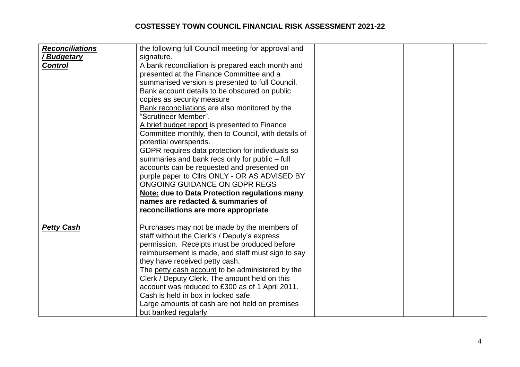| <b>Reconciliations</b><br><u>' Budgetary</u><br><b>Control</b> | the following full Council meeting for approval and<br>signature.<br>A bank reconciliation is prepared each month and<br>presented at the Finance Committee and a<br>summarised version is presented to full Council.<br>Bank account details to be obscured on public<br>copies as security measure<br>Bank reconciliations are also monitored by the<br>"Scrutineer Member".<br>A brief budget report is presented to Finance<br>Committee monthly, then to Council, with details of<br>potential overspends.<br>GDPR requires data protection for individuals so<br>summaries and bank recs only for public - full<br>accounts can be requested and presented on<br>purple paper to Clirs ONLY - OR AS ADVISED BY<br>ONGOING GUIDANCE ON GDPR REGS<br>Note: due to Data Protection regulations many<br>names are redacted & summaries of<br>reconciliations are more appropriate |  |  |
|----------------------------------------------------------------|-------------------------------------------------------------------------------------------------------------------------------------------------------------------------------------------------------------------------------------------------------------------------------------------------------------------------------------------------------------------------------------------------------------------------------------------------------------------------------------------------------------------------------------------------------------------------------------------------------------------------------------------------------------------------------------------------------------------------------------------------------------------------------------------------------------------------------------------------------------------------------------|--|--|
| <b>Petty Cash</b>                                              | Purchases may not be made by the members of<br>staff without the Clerk's / Deputy's express<br>permission. Receipts must be produced before<br>reimbursement is made, and staff must sign to say<br>they have received petty cash.<br>The petty cash account to be administered by the<br>Clerk / Deputy Clerk. The amount held on this<br>account was reduced to £300 as of 1 April 2011.<br>Cash is held in box in locked safe.<br>Large amounts of cash are not held on premises<br>but banked regularly.                                                                                                                                                                                                                                                                                                                                                                        |  |  |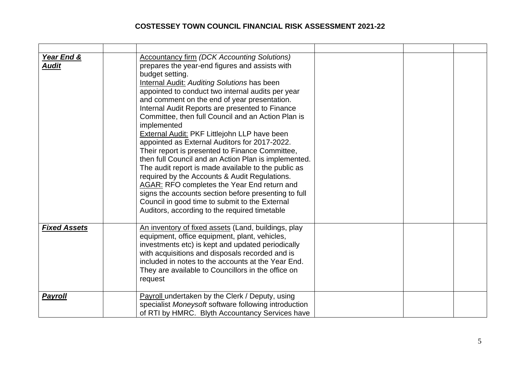| <u>Year End &amp;</u><br><b>Audit</b> | <b>Accountancy firm (DCK Accounting Solutions)</b><br>prepares the year-end figures and assists with<br>budget setting.<br><b>Internal Audit: Auditing Solutions has been</b><br>appointed to conduct two internal audits per year<br>and comment on the end of year presentation.<br>Internal Audit Reports are presented to Finance<br>Committee, then full Council and an Action Plan is<br>implemented<br><b>External Audit: PKF Littlejohn LLP have been</b><br>appointed as External Auditors for 2017-2022.<br>Their report is presented to Finance Committee,<br>then full Council and an Action Plan is implemented.<br>The audit report is made available to the public as<br>required by the Accounts & Audit Regulations.<br>AGAR: RFO completes the Year End return and<br>signs the accounts section before presenting to full<br>Council in good time to submit to the External<br>Auditors, according to the required timetable |  |  |
|---------------------------------------|-------------------------------------------------------------------------------------------------------------------------------------------------------------------------------------------------------------------------------------------------------------------------------------------------------------------------------------------------------------------------------------------------------------------------------------------------------------------------------------------------------------------------------------------------------------------------------------------------------------------------------------------------------------------------------------------------------------------------------------------------------------------------------------------------------------------------------------------------------------------------------------------------------------------------------------------------|--|--|
| <b>Fixed Assets</b>                   | An inventory of fixed assets (Land, buildings, play<br>equipment, office equipment, plant, vehicles,<br>investments etc) is kept and updated periodically<br>with acquisitions and disposals recorded and is<br>included in notes to the accounts at the Year End.<br>They are available to Councillors in the office on<br>request                                                                                                                                                                                                                                                                                                                                                                                                                                                                                                                                                                                                             |  |  |
| <b>Payroll</b>                        | Payroll undertaken by the Clerk / Deputy, using<br>specialist Moneysoft software following introduction<br>of RTI by HMRC. Blyth Accountancy Services have                                                                                                                                                                                                                                                                                                                                                                                                                                                                                                                                                                                                                                                                                                                                                                                      |  |  |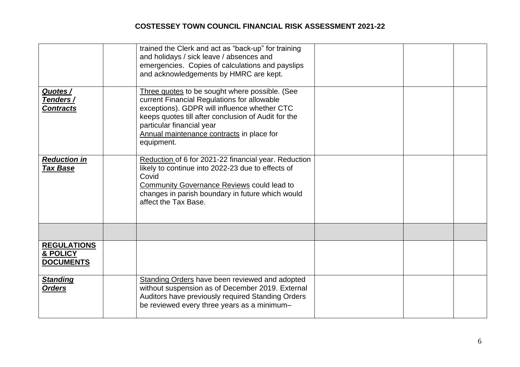|                                                    | trained the Clerk and act as "back-up" for training<br>and holidays / sick leave / absences and<br>emergencies. Copies of calculations and payslips<br>and acknowledgements by HMRC are kept.                                                                                                |  |  |
|----------------------------------------------------|----------------------------------------------------------------------------------------------------------------------------------------------------------------------------------------------------------------------------------------------------------------------------------------------|--|--|
| Quotes /<br>Tenders /<br><b>Contracts</b>          | Three quotes to be sought where possible. (See<br>current Financial Regulations for allowable<br>exceptions). GDPR will influence whether CTC<br>keeps quotes till after conclusion of Audit for the<br>particular financial year<br>Annual maintenance contracts in place for<br>equipment. |  |  |
| <b>Reduction in</b><br><b>Tax Base</b>             | Reduction of 6 for 2021-22 financial year. Reduction<br>likely to continue into 2022-23 due to effects of<br>Covid<br><b>Community Governance Reviews could lead to</b><br>changes in parish boundary in future which would<br>affect the Tax Base.                                          |  |  |
|                                                    |                                                                                                                                                                                                                                                                                              |  |  |
| <b>REGULATIONS</b><br>& POLICY<br><b>DOCUMENTS</b> |                                                                                                                                                                                                                                                                                              |  |  |
| <b>Standing</b><br><b>Orders</b>                   | Standing Orders have been reviewed and adopted<br>without suspension as of December 2019. External<br>Auditors have previously required Standing Orders<br>be reviewed every three years as a minimum-                                                                                       |  |  |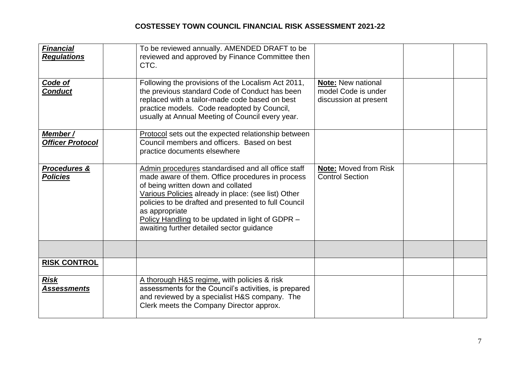| <b>Financial</b><br><b>Regulations</b>     | To be reviewed annually. AMENDED DRAFT to be<br>reviewed and approved by Finance Committee then<br>CTC.                                                                                                                                                                                                                                                                        |                                                                           |  |
|--------------------------------------------|--------------------------------------------------------------------------------------------------------------------------------------------------------------------------------------------------------------------------------------------------------------------------------------------------------------------------------------------------------------------------------|---------------------------------------------------------------------------|--|
| Code of<br><b>Conduct</b>                  | Following the provisions of the Localism Act 2011,<br>the previous standard Code of Conduct has been<br>replaced with a tailor-made code based on best<br>practice models. Code readopted by Council,<br>usually at Annual Meeting of Council every year.                                                                                                                      | <b>Note: New national</b><br>model Code is under<br>discussion at present |  |
| Member /<br><b>Officer Protocol</b>        | Protocol sets out the expected relationship between<br>Council members and officers. Based on best<br>practice documents elsewhere                                                                                                                                                                                                                                             |                                                                           |  |
| <b>Procedures &amp;</b><br><b>Policies</b> | Admin procedures standardised and all office staff<br>made aware of them. Office procedures in process<br>of being written down and collated<br>Various Policies already in place: (see list) Other<br>policies to be drafted and presented to full Council<br>as appropriate<br>Policy Handling to be updated in light of GDPR -<br>awaiting further detailed sector guidance | <b>Note: Moved from Risk</b><br><b>Control Section</b>                    |  |
|                                            |                                                                                                                                                                                                                                                                                                                                                                                |                                                                           |  |
| <b>RISK CONTROL</b>                        |                                                                                                                                                                                                                                                                                                                                                                                |                                                                           |  |
| <b>Risk</b><br><b>Assessments</b>          | A thorough H&S regime, with policies & risk<br>assessments for the Council's activities, is prepared<br>and reviewed by a specialist H&S company. The<br>Clerk meets the Company Director approx.                                                                                                                                                                              |                                                                           |  |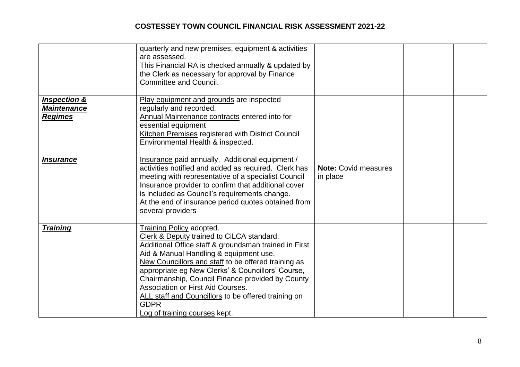|                                                                 | quarterly and new premises, equipment & activities<br>are assessed.<br>This Financial RA is checked annually & updated by<br>the Clerk as necessary for approval by Finance<br><b>Committee and Council.</b>                                                                                                                                                                                                                                                                                |                                         |  |
|-----------------------------------------------------------------|---------------------------------------------------------------------------------------------------------------------------------------------------------------------------------------------------------------------------------------------------------------------------------------------------------------------------------------------------------------------------------------------------------------------------------------------------------------------------------------------|-----------------------------------------|--|
| <b>Inspection &amp;</b><br><b>Maintenance</b><br><b>Regimes</b> | Play equipment and grounds are inspected<br>regularly and recorded.<br>Annual Maintenance contracts entered into for<br>essential equipment<br>Kitchen Premises registered with District Council<br>Environmental Health & inspected.                                                                                                                                                                                                                                                       |                                         |  |
| <b>Insurance</b>                                                | Insurance paid annually. Additional equipment /<br>activities notified and added as required. Clerk has<br>meeting with representative of a specialist Council<br>Insurance provider to confirm that additional cover<br>is included as Council's requirements change.<br>At the end of insurance period quotes obtained from<br>several providers                                                                                                                                          | <b>Note: Covid measures</b><br>in place |  |
| <b>Training</b>                                                 | Training Policy adopted.<br>Clerk & Deputy trained to CiLCA standard.<br>Additional Office staff & groundsman trained in First<br>Aid & Manual Handling & equipment use.<br>New Councillors and staff to be offered training as<br>appropriate eg New Clerks' & Councillors' Course,<br>Chairmanship, Council Finance provided by County<br><b>Association or First Aid Courses.</b><br>ALL staff and Councillors to be offered training on<br><b>GDPR</b><br>Log of training courses kept. |                                         |  |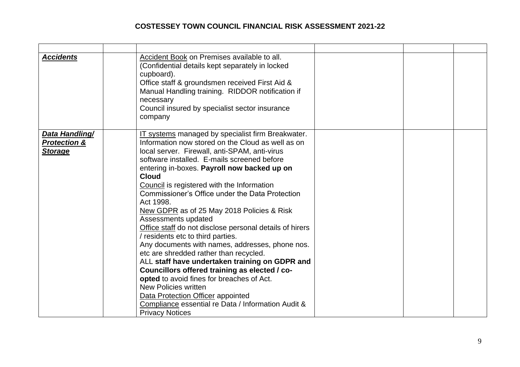| <b>Accidents</b>                                            | Accident Book on Premises available to all.<br>(Confidential details kept separately in locked<br>cupboard).<br>Office staff & groundsmen received First Aid &<br>Manual Handling training. RIDDOR notification if<br>necessary<br>Council insured by specialist sector insurance<br>company                                                                                                                                                                                                                                                                                                                                                                                                                                                                                                                                                                                                                                                              |  |  |
|-------------------------------------------------------------|-----------------------------------------------------------------------------------------------------------------------------------------------------------------------------------------------------------------------------------------------------------------------------------------------------------------------------------------------------------------------------------------------------------------------------------------------------------------------------------------------------------------------------------------------------------------------------------------------------------------------------------------------------------------------------------------------------------------------------------------------------------------------------------------------------------------------------------------------------------------------------------------------------------------------------------------------------------|--|--|
| Data Handling/<br><b>Protection &amp;</b><br><b>Storage</b> | IT systems managed by specialist firm Breakwater.<br>Information now stored on the Cloud as well as on<br>local server. Firewall, anti-SPAM, anti-virus<br>software installed. E-mails screened before<br>entering in-boxes. Payroll now backed up on<br><b>Cloud</b><br>Council is registered with the Information<br>Commissioner's Office under the Data Protection<br>Act 1998.<br>New GDPR as of 25 May 2018 Policies & Risk<br>Assessments updated<br>Office staff do not disclose personal details of hirers<br>/ residents etc to third parties.<br>Any documents with names, addresses, phone nos.<br>etc are shredded rather than recycled.<br>ALL staff have undertaken training on GDPR and<br>Councillors offered training as elected / co-<br>opted to avoid fines for breaches of Act.<br><b>New Policies written</b><br>Data Protection Officer appointed<br>Compliance essential re Data / Information Audit &<br><b>Privacy Notices</b> |  |  |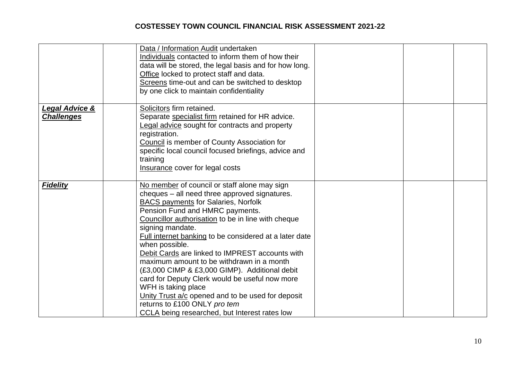|                                     | Data / Information Audit undertaken<br>Individuals contacted to inform them of how their<br>data will be stored, the legal basis and for how long.<br>Office locked to protect staff and data.<br>Screens time-out and can be switched to desktop<br>by one click to maintain confidentiality                                                                                                                                                                                                                                                                                                                                                                                                        |  |  |
|-------------------------------------|------------------------------------------------------------------------------------------------------------------------------------------------------------------------------------------------------------------------------------------------------------------------------------------------------------------------------------------------------------------------------------------------------------------------------------------------------------------------------------------------------------------------------------------------------------------------------------------------------------------------------------------------------------------------------------------------------|--|--|
| Legal Advice &<br><b>Challenges</b> | Solicitors firm retained.<br>Separate specialist firm retained for HR advice.<br><b>Legal advice sought for contracts and property</b><br>registration.<br>Council is member of County Association for<br>specific local council focused briefings, advice and<br>training<br>Insurance cover for legal costs                                                                                                                                                                                                                                                                                                                                                                                        |  |  |
| <b>Fidelity</b>                     | No member of council or staff alone may sign<br>cheques – all need three approved signatures.<br><b>BACS payments for Salaries, Norfolk</b><br>Pension Fund and HMRC payments.<br>Councillor authorisation to be in line with cheque<br>signing mandate.<br>Full internet banking to be considered at a later date<br>when possible.<br>Debit Cards are linked to IMPREST accounts with<br>maximum amount to be withdrawn in a month<br>(£3,000 CIMP & £3,000 GIMP). Additional debit<br>card for Deputy Clerk would be useful now more<br>WFH is taking place<br>Unity Trust a/c opened and to be used for deposit<br>returns to £100 ONLY pro tem<br>CCLA being researched, but Interest rates low |  |  |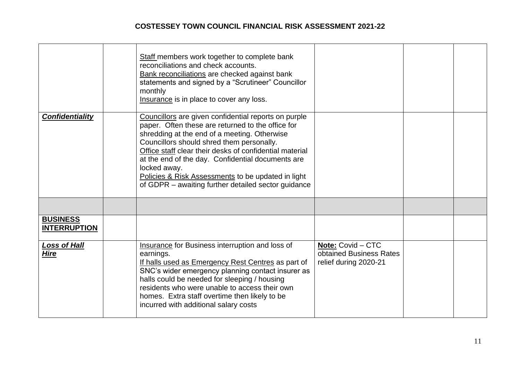|                                        | Staff members work together to complete bank<br>reconciliations and check accounts.<br>Bank reconciliations are checked against bank<br>statements and signed by a "Scrutineer" Councillor<br>monthly<br>Insurance is in place to cover any loss.                                                                                                                                                                                                   |                                                                              |  |
|----------------------------------------|-----------------------------------------------------------------------------------------------------------------------------------------------------------------------------------------------------------------------------------------------------------------------------------------------------------------------------------------------------------------------------------------------------------------------------------------------------|------------------------------------------------------------------------------|--|
| <b>Confidentiality</b>                 | Councillors are given confidential reports on purple<br>paper. Often these are returned to the office for<br>shredding at the end of a meeting. Otherwise<br>Councillors should shred them personally.<br>Office staff clear their desks of confidential material<br>at the end of the day. Confidential documents are<br>locked away.<br>Policies & Risk Assessments to be updated in light<br>of GDPR – awaiting further detailed sector guidance |                                                                              |  |
|                                        |                                                                                                                                                                                                                                                                                                                                                                                                                                                     |                                                                              |  |
| <b>BUSINESS</b><br><b>INTERRUPTION</b> |                                                                                                                                                                                                                                                                                                                                                                                                                                                     |                                                                              |  |
| <b>Loss of Hall</b><br><b>Hire</b>     | <b>Insurance for Business interruption and loss of</b><br>earnings.<br>If halls used as Emergency Rest Centres as part of<br>SNC's wider emergency planning contact insurer as<br>halls could be needed for sleeping / housing<br>residents who were unable to access their own<br>homes. Extra staff overtime then likely to be<br>incurred with additional salary costs                                                                           | <b>Note: Covid - CTC</b><br>obtained Business Rates<br>relief during 2020-21 |  |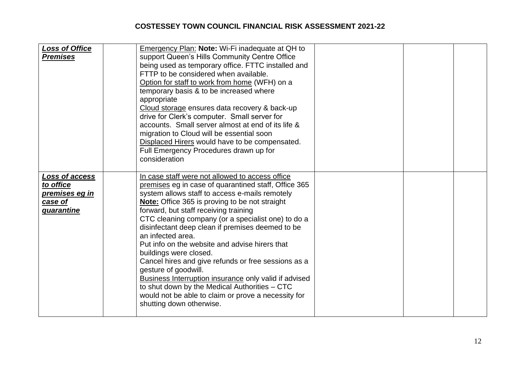| <b>Loss of Office</b><br><b>Premises</b>                                      | appropriate<br>consideration | Emergency Plan: Note: Wi-Fi inadequate at QH to<br>support Queen's Hills Community Centre Office<br>being used as temporary office. FTTC installed and<br>FTTP to be considered when available.<br>Option for staff to work from home (WFH) on a<br>temporary basis & to be increased where<br>Cloud storage ensures data recovery & back-up<br>drive for Clerk's computer. Small server for<br>accounts. Small server almost at end of its life &<br>migration to Cloud will be essential soon<br>Displaced Hirers would have to be compensated.<br>Full Emergency Procedures drawn up for                                                                                                                                                        |  |  |
|-------------------------------------------------------------------------------|------------------------------|----------------------------------------------------------------------------------------------------------------------------------------------------------------------------------------------------------------------------------------------------------------------------------------------------------------------------------------------------------------------------------------------------------------------------------------------------------------------------------------------------------------------------------------------------------------------------------------------------------------------------------------------------------------------------------------------------------------------------------------------------|--|--|
| Loss of access<br>to office<br><u>premises eg in</u><br>case of<br>quarantine |                              | In case staff were not allowed to access office<br>premises eg in case of quarantined staff, Office 365<br>system allows staff to access e-mails remotely<br>Note: Office 365 is proving to be not straight<br>forward, but staff receiving training<br>CTC cleaning company (or a specialist one) to do a<br>disinfectant deep clean if premises deemed to be<br>an infected area.<br>Put info on the website and advise hirers that<br>buildings were closed.<br>Cancel hires and give refunds or free sessions as a<br>gesture of goodwill.<br><b>Business Interruption insurance only valid if advised</b><br>to shut down by the Medical Authorities - CTC<br>would not be able to claim or prove a necessity for<br>shutting down otherwise. |  |  |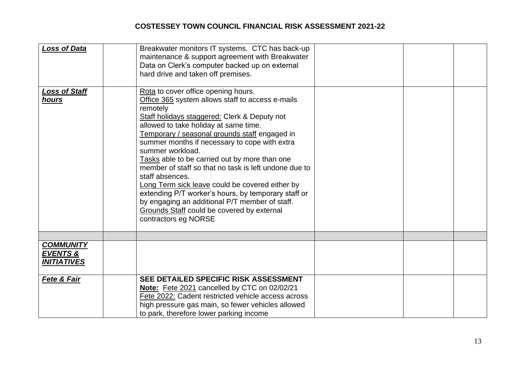| <b>Loss of Data</b>                                           | Breakwater monitors IT systems. CTC has back-up<br>maintenance & support agreement with Breakwater<br>Data on Clerk's computer backed up on external<br>hard drive and taken off premises.                                                                                                                                                                                                                                                                                                                                                                                                                                                                                        |  |  |
|---------------------------------------------------------------|-----------------------------------------------------------------------------------------------------------------------------------------------------------------------------------------------------------------------------------------------------------------------------------------------------------------------------------------------------------------------------------------------------------------------------------------------------------------------------------------------------------------------------------------------------------------------------------------------------------------------------------------------------------------------------------|--|--|
| <u> Loss of Staff</u><br>hours                                | Rota to cover office opening hours.<br>Office 365 system allows staff to access e-mails<br>remotely<br>Staff holidays staggered: Clerk & Deputy not<br>allowed to take holiday at same time.<br>Temporary / seasonal grounds staff engaged in<br>summer months if necessary to cope with extra<br>summer workload.<br>Tasks able to be carried out by more than one<br>member of staff so that no task is left undone due to<br>staff absences.<br>Long Term sick leave could be covered either by<br>extending P/T worker's hours, by temporary staff or<br>by engaging an additional P/T member of staff.<br>Grounds Staff could be covered by external<br>contractors eg NORSE |  |  |
|                                                               |                                                                                                                                                                                                                                                                                                                                                                                                                                                                                                                                                                                                                                                                                   |  |  |
| <b>COMMUNITY</b><br><b>EVENTS &amp;</b><br><b>INITIATIVES</b> |                                                                                                                                                                                                                                                                                                                                                                                                                                                                                                                                                                                                                                                                                   |  |  |
| <b>Fete &amp; Fair</b>                                        | SEE DETAILED SPECIFIC RISK ASSESSMENT<br>Note: Fete 2021 cancelled by CTC on 02/02/21<br>Fete 2022: Cadent restricted vehicle access across<br>high pressure gas main, so fewer vehicles allowed<br>to park, therefore lower parking income                                                                                                                                                                                                                                                                                                                                                                                                                                       |  |  |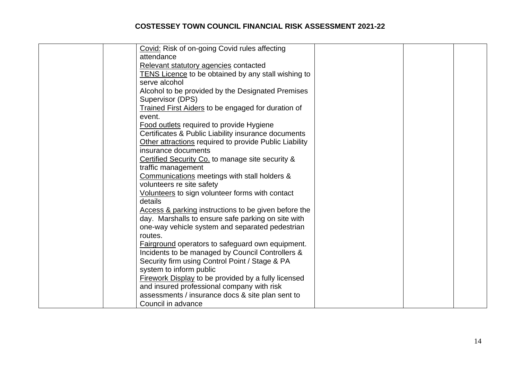| Covid: Risk of on-going Covid rules affecting              |  |  |
|------------------------------------------------------------|--|--|
| attendance                                                 |  |  |
| Relevant statutory agencies contacted                      |  |  |
| <b>TENS Licence to be obtained by any stall wishing to</b> |  |  |
| serve alcohol                                              |  |  |
| Alcohol to be provided by the Designated Premises          |  |  |
| Supervisor (DPS)                                           |  |  |
| <b>Trained First Aiders to be engaged for duration of</b>  |  |  |
| event.                                                     |  |  |
| <b>Food outlets required to provide Hygiene</b>            |  |  |
| Certificates & Public Liability insurance documents        |  |  |
| Other attractions required to provide Public Liability     |  |  |
| insurance documents                                        |  |  |
| Certified Security Co. to manage site security &           |  |  |
| traffic management                                         |  |  |
| Communications meetings with stall holders &               |  |  |
| volunteers re site safety                                  |  |  |
| Volunteers to sign volunteer forms with contact            |  |  |
| details                                                    |  |  |
| Access & parking instructions to be given before the       |  |  |
| day. Marshalls to ensure safe parking on site with         |  |  |
| one-way vehicle system and separated pedestrian            |  |  |
| routes.                                                    |  |  |
| Fairground operators to safeguard own equipment.           |  |  |
| Incidents to be managed by Council Controllers &           |  |  |
| Security firm using Control Point / Stage & PA             |  |  |
| system to inform public                                    |  |  |
| <b>Firework Display to be provided by a fully licensed</b> |  |  |
| and insured professional company with risk                 |  |  |
| assessments / insurance docs & site plan sent to           |  |  |
| Council in advance                                         |  |  |